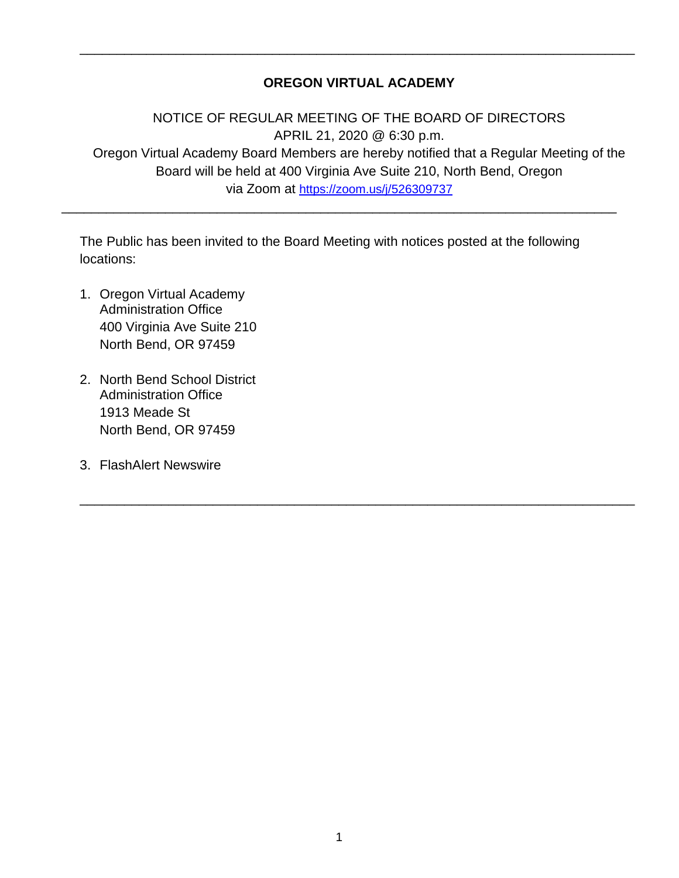# **OREGON VIRTUAL ACADEMY**

\_\_\_\_\_\_\_\_\_\_\_\_\_\_\_\_\_\_\_\_\_\_\_\_\_\_\_\_\_\_\_\_\_\_\_\_\_\_\_\_\_\_\_\_\_\_\_\_\_\_\_\_\_\_\_\_\_\_\_\_\_\_\_\_\_\_\_\_\_\_\_\_\_\_\_

NOTICE OF REGULAR MEETING OF THE BOARD OF DIRECTORS APRIL 21, 2020 @ 6:30 p.m. Oregon Virtual Academy Board Members are hereby notified that a Regular Meeting of the Board will be held at 400 Virginia Ave Suite 210, North Bend, Oregon via Zoom at <https://zoom.us/j/526309737>

\_\_\_\_\_\_\_\_\_\_\_\_\_\_\_\_\_\_\_\_\_\_\_\_\_\_\_\_\_\_\_\_\_\_\_\_\_\_\_\_\_\_\_\_\_\_\_\_\_\_\_\_\_\_\_\_\_\_\_\_\_\_\_\_\_\_\_\_\_\_\_\_\_\_\_

The Public has been invited to the Board Meeting with notices posted at the following locations:

\_\_\_\_\_\_\_\_\_\_\_\_\_\_\_\_\_\_\_\_\_\_\_\_\_\_\_\_\_\_\_\_\_\_\_\_\_\_\_\_\_\_\_\_\_\_\_\_\_\_\_\_\_\_\_\_\_\_\_\_\_\_\_\_\_\_\_\_\_\_\_\_\_\_\_

- 1. Oregon Virtual Academy Administration Office 400 Virginia Ave Suite 210 North Bend, OR 97459
- 2. North Bend School District Administration Office 1913 Meade St North Bend, OR 97459
- 3. FlashAlert Newswire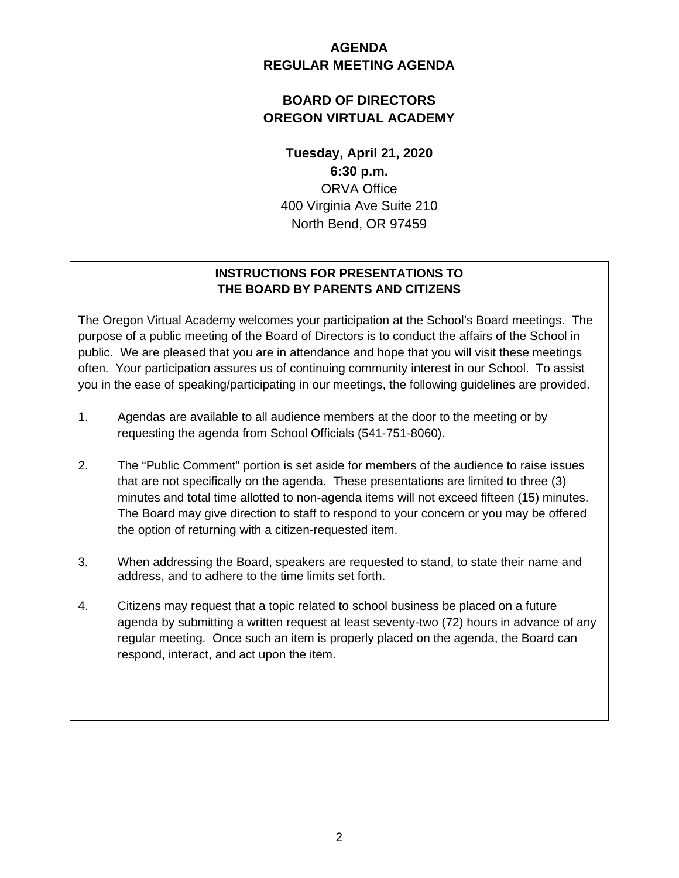# **AGENDA REGULAR MEETING AGENDA**

# **BOARD OF DIRECTORS OREGON VIRTUAL ACADEMY**

**Tuesday, April 21, 2020 6:30 p.m.** ORVA Office 400 Virginia Ave Suite 210 North Bend, OR 97459

# **INSTRUCTIONS FOR PRESENTATIONS TO THE BOARD BY PARENTS AND CITIZENS**

The Oregon Virtual Academy welcomes your participation at the School's Board meetings. The purpose of a public meeting of the Board of Directors is to conduct the affairs of the School in public. We are pleased that you are in attendance and hope that you will visit these meetings often. Your participation assures us of continuing community interest in our School. To assist you in the ease of speaking/participating in our meetings, the following guidelines are provided.

- 1. Agendas are available to all audience members at the door to the meeting or by requesting the agenda from School Officials (541-751-8060).
- 2. The "Public Comment" portion is set aside for members of the audience to raise issues that are not specifically on the agenda. These presentations are limited to three (3) minutes and total time allotted to non-agenda items will not exceed fifteen (15) minutes. The Board may give direction to staff to respond to your concern or you may be offered the option of returning with a citizen-requested item.
- 3. When addressing the Board, speakers are requested to stand, to state their name and address, and to adhere to the time limits set forth.
- 4. Citizens may request that a topic related to school business be placed on a future agenda by submitting a written request at least seventy-two (72) hours in advance of any regular meeting. Once such an item is properly placed on the agenda, the Board can respond, interact, and act upon the item.